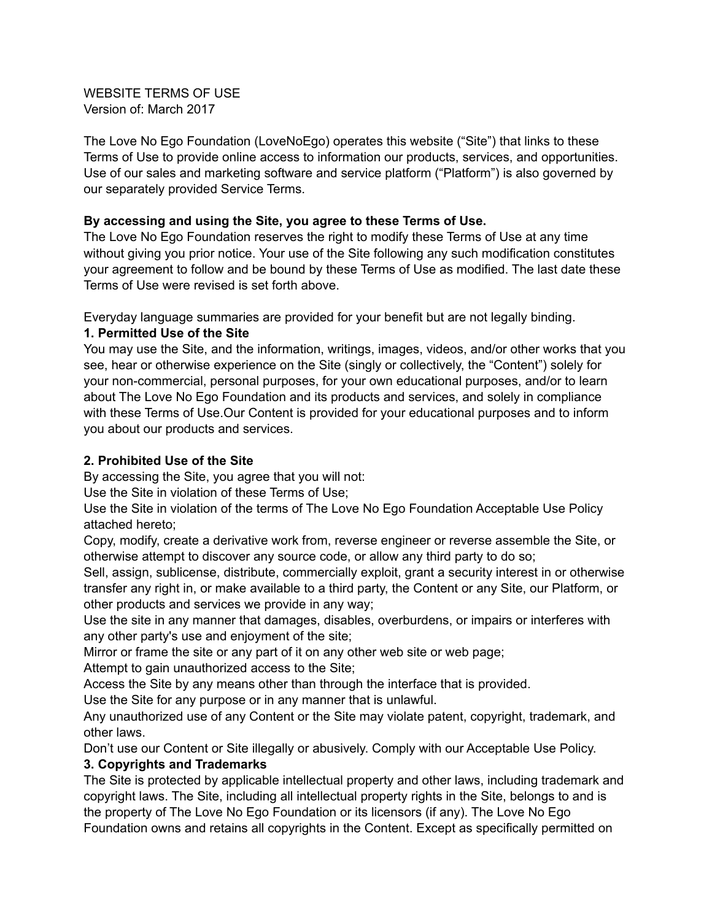WEBSITE TERMS OF USE Version of: March 2017

The Love No Ego Foundation (LoveNoEgo) operates this website ("Site") that links to these Terms of Use to provide online access to information our products, services, and opportunities. Use of our sales and marketing software and service platform ("Platform") is also governed by our separately provided Service Terms.

#### **By accessing and using the Site, you agree to these Terms of Use.**

The Love No Ego Foundation reserves the right to modify these Terms of Use at any time without giving you prior notice. Your use of the Site following any such modification constitutes your agreement to follow and be bound by these Terms of Use as modified. The last date these Terms of Use were revised is set forth above.

Everyday language summaries are provided for your benefit but are not legally binding.

#### **1. Permitted Use of the Site**

You may use the Site, and the information, writings, images, videos, and/or other works that you see, hear or otherwise experience on the Site (singly or collectively, the "Content") solely for your non-commercial, personal purposes, for your own educational purposes, and/or to learn about The Love No Ego Foundation and its products and services, and solely in compliance with these Terms of Use.Our Content is provided for your educational purposes and to inform you about our products and services.

## **2. Prohibited Use of the Site**

By accessing the Site, you agree that you will not:

Use the Site in violation of these Terms of Use;

Use the Site in violation of the terms of The Love No Ego Foundation Acceptable Use Policy attached hereto;

Copy, modify, create a derivative work from, reverse engineer or reverse assemble the Site, or otherwise attempt to discover any source code, or allow any third party to do so;

Sell, assign, sublicense, distribute, commercially exploit, grant a security interest in or otherwise transfer any right in, or make available to a third party, the Content or any Site, our Platform, or other products and services we provide in any way;

Use the site in any manner that damages, disables, overburdens, or impairs or interferes with any other party's use and enjoyment of the site;

Mirror or frame the site or any part of it on any other web site or web page;

Attempt to gain unauthorized access to the Site;

Access the Site by any means other than through the interface that is provided.

Use the Site for any purpose or in any manner that is unlawful.

Any unauthorized use of any Content or the Site may violate patent, copyright, trademark, and other laws.

Don't use our Content or Site illegally or abusively. Comply with our Acceptable Use Policy. **3. Copyrights and Trademarks**

The Site is protected by applicable intellectual property and other laws, including trademark and copyright laws. The Site, including all intellectual property rights in the Site, belongs to and is the property of The Love No Ego Foundation or its licensors (if any). The Love No Ego Foundation owns and retains all copyrights in the Content. Except as specifically permitted on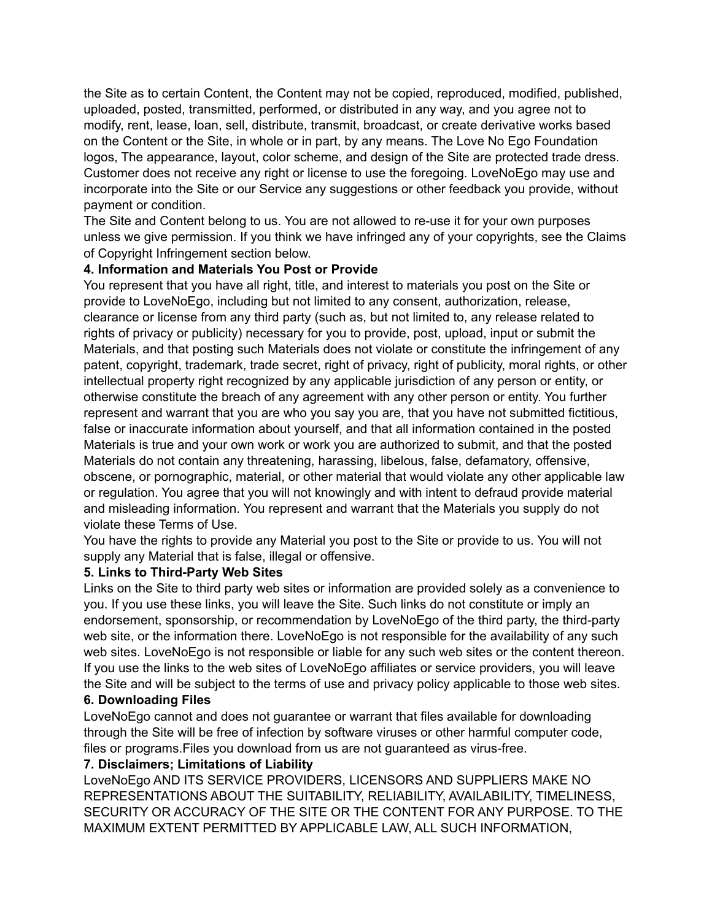the Site as to certain Content, the Content may not be copied, reproduced, modified, published, uploaded, posted, transmitted, performed, or distributed in any way, and you agree not to modify, rent, lease, loan, sell, distribute, transmit, broadcast, or create derivative works based on the Content or the Site, in whole or in part, by any means. The Love No Ego Foundation logos, The appearance, layout, color scheme, and design of the Site are protected trade dress. Customer does not receive any right or license to use the foregoing. LoveNoEgo may use and incorporate into the Site or our Service any suggestions or other feedback you provide, without payment or condition.

The Site and Content belong to us. You are not allowed to re-use it for your own purposes unless we give permission. If you think we have infringed any of your copyrights, see the Claims of Copyright Infringement section below.

#### **4. Information and Materials You Post or Provide**

You represent that you have all right, title, and interest to materials you post on the Site or provide to LoveNoEgo, including but not limited to any consent, authorization, release, clearance or license from any third party (such as, but not limited to, any release related to rights of privacy or publicity) necessary for you to provide, post, upload, input or submit the Materials, and that posting such Materials does not violate or constitute the infringement of any patent, copyright, trademark, trade secret, right of privacy, right of publicity, moral rights, or other intellectual property right recognized by any applicable jurisdiction of any person or entity, or otherwise constitute the breach of any agreement with any other person or entity. You further represent and warrant that you are who you say you are, that you have not submitted fictitious, false or inaccurate information about yourself, and that all information contained in the posted Materials is true and your own work or work you are authorized to submit, and that the posted Materials do not contain any threatening, harassing, libelous, false, defamatory, offensive, obscene, or pornographic, material, or other material that would violate any other applicable law or regulation. You agree that you will not knowingly and with intent to defraud provide material and misleading information. You represent and warrant that the Materials you supply do not violate these Terms of Use.

You have the rights to provide any Material you post to the Site or provide to us. You will not supply any Material that is false, illegal or offensive.

#### **5. Links to Third-Party Web Sites**

Links on the Site to third party web sites or information are provided solely as a convenience to you. If you use these links, you will leave the Site. Such links do not constitute or imply an endorsement, sponsorship, or recommendation by LoveNoEgo of the third party, the third-party web site, or the information there. LoveNoEgo is not responsible for the availability of any such web sites. LoveNoEgo is not responsible or liable for any such web sites or the content thereon. If you use the links to the web sites of LoveNoEgo affiliates or service providers, you will leave the Site and will be subject to the terms of use and privacy policy applicable to those web sites.

#### **6. Downloading Files**

LoveNoEgo cannot and does not guarantee or warrant that files available for downloading through the Site will be free of infection by software viruses or other harmful computer code, files or programs.Files you download from us are not guaranteed as virus-free.

#### **7. Disclaimers; Limitations of Liability**

LoveNoEgo AND ITS SERVICE PROVIDERS, LICENSORS AND SUPPLIERS MAKE NO REPRESENTATIONS ABOUT THE SUITABILITY, RELIABILITY, AVAILABILITY, TIMELINESS, SECURITY OR ACCURACY OF THE SITE OR THE CONTENT FOR ANY PURPOSE. TO THE MAXIMUM EXTENT PERMITTED BY APPLICABLE LAW, ALL SUCH INFORMATION,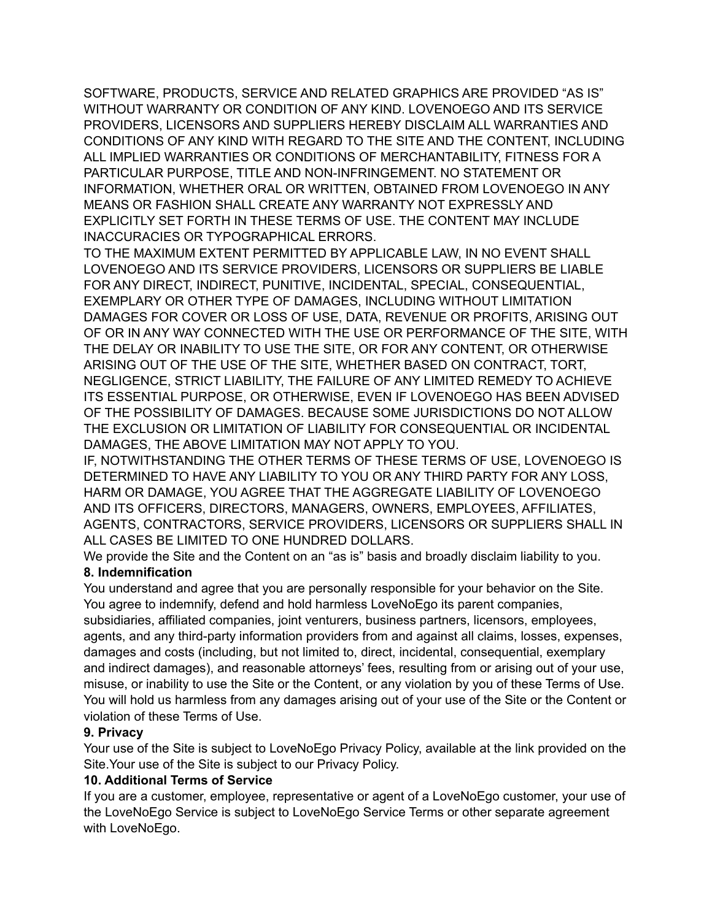SOFTWARE, PRODUCTS, SERVICE AND RELATED GRAPHICS ARE PROVIDED "AS IS" WITHOUT WARRANTY OR CONDITION OF ANY KIND. LOVENOEGO AND ITS SERVICE PROVIDERS, LICENSORS AND SUPPLIERS HEREBY DISCLAIM ALL WARRANTIES AND CONDITIONS OF ANY KIND WITH REGARD TO THE SITE AND THE CONTENT, INCLUDING ALL IMPLIED WARRANTIES OR CONDITIONS OF MERCHANTABILITY, FITNESS FOR A PARTICULAR PURPOSE, TITLE AND NON-INFRINGEMENT. NO STATEMENT OR INFORMATION, WHETHER ORAL OR WRITTEN, OBTAINED FROM LOVENOEGO IN ANY MEANS OR FASHION SHALL CREATE ANY WARRANTY NOT EXPRESSLY AND EXPLICITLY SET FORTH IN THESE TERMS OF USE. THE CONTENT MAY INCLUDE INACCURACIES OR TYPOGRAPHICAL ERRORS.

TO THE MAXIMUM EXTENT PERMITTED BY APPLICABLE LAW, IN NO EVENT SHALL LOVENOEGO AND ITS SERVICE PROVIDERS, LICENSORS OR SUPPLIERS BE LIABLE FOR ANY DIRECT, INDIRECT, PUNITIVE, INCIDENTAL, SPECIAL, CONSEQUENTIAL, EXEMPLARY OR OTHER TYPE OF DAMAGES, INCLUDING WITHOUT LIMITATION DAMAGES FOR COVER OR LOSS OF USE, DATA, REVENUE OR PROFITS, ARISING OUT OF OR IN ANY WAY CONNECTED WITH THE USE OR PERFORMANCE OF THE SITE, WITH THE DELAY OR INABILITY TO USE THE SITE, OR FOR ANY CONTENT, OR OTHERWISE ARISING OUT OF THE USE OF THE SITE, WHETHER BASED ON CONTRACT, TORT, NEGLIGENCE, STRICT LIABILITY, THE FAILURE OF ANY LIMITED REMEDY TO ACHIEVE ITS ESSENTIAL PURPOSE, OR OTHERWISE, EVEN IF LOVENOEGO HAS BEEN ADVISED OF THE POSSIBILITY OF DAMAGES. BECAUSE SOME JURISDICTIONS DO NOT ALLOW THE EXCLUSION OR LIMITATION OF LIABILITY FOR CONSEQUENTIAL OR INCIDENTAL DAMAGES, THE ABOVE LIMITATION MAY NOT APPLY TO YOU.

IF, NOTWITHSTANDING THE OTHER TERMS OF THESE TERMS OF USE, LOVENOEGO IS DETERMINED TO HAVE ANY LIABILITY TO YOU OR ANY THIRD PARTY FOR ANY LOSS, HARM OR DAMAGE, YOU AGREE THAT THE AGGREGATE LIABILITY OF LOVENOEGO AND ITS OFFICERS, DIRECTORS, MANAGERS, OWNERS, EMPLOYEES, AFFILIATES, AGENTS, CONTRACTORS, SERVICE PROVIDERS, LICENSORS OR SUPPLIERS SHALL IN ALL CASES BE LIMITED TO ONE HUNDRED DOLLARS.

We provide the Site and the Content on an "as is" basis and broadly disclaim liability to you. **8. Indemnification**

You understand and agree that you are personally responsible for your behavior on the Site. You agree to indemnify, defend and hold harmless LoveNoEgo its parent companies, subsidiaries, affiliated companies, joint venturers, business partners, licensors, employees, agents, and any third-party information providers from and against all claims, losses, expenses, damages and costs (including, but not limited to, direct, incidental, consequential, exemplary and indirect damages), and reasonable attorneys' fees, resulting from or arising out of your use, misuse, or inability to use the Site or the Content, or any violation by you of these Terms of Use. You will hold us harmless from any damages arising out of your use of the Site or the Content or violation of these Terms of Use.

# **9. Privacy**

Your use of the Site is subject to LoveNoEgo Privacy Policy, available at the link provided on the Site.Your use of the Site is subject to our Privacy Policy.

## **10. Additional Terms of Service**

If you are a customer, employee, representative or agent of a LoveNoEgo customer, your use of the LoveNoEgo Service is subject to LoveNoEgo Service Terms or other separate agreement with LoveNoEgo.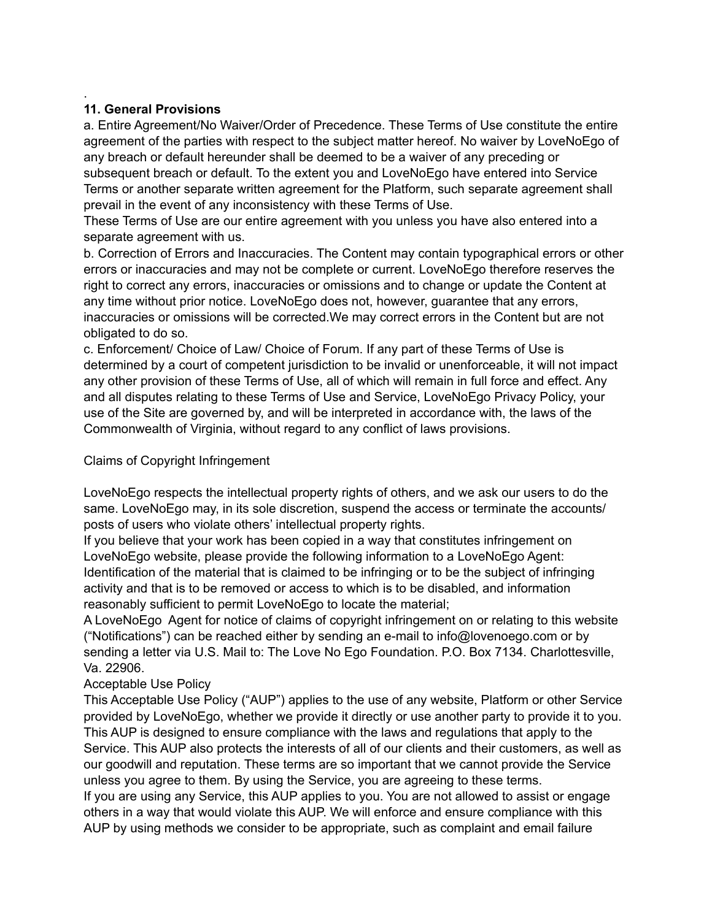# **11. General Provisions**

.

a. Entire Agreement/No Waiver/Order of Precedence. These Terms of Use constitute the entire agreement of the parties with respect to the subject matter hereof. No waiver by LoveNoEgo of any breach or default hereunder shall be deemed to be a waiver of any preceding or subsequent breach or default. To the extent you and LoveNoEgo have entered into Service Terms or another separate written agreement for the Platform, such separate agreement shall prevail in the event of any inconsistency with these Terms of Use.

These Terms of Use are our entire agreement with you unless you have also entered into a separate agreement with us.

b. Correction of Errors and Inaccuracies. The Content may contain typographical errors or other errors or inaccuracies and may not be complete or current. LoveNoEgo therefore reserves the right to correct any errors, inaccuracies or omissions and to change or update the Content at any time without prior notice. LoveNoEgo does not, however, guarantee that any errors, inaccuracies or omissions will be corrected.We may correct errors in the Content but are not obligated to do so.

c. Enforcement/ Choice of Law/ Choice of Forum. If any part of these Terms of Use is determined by a court of competent jurisdiction to be invalid or unenforceable, it will not impact any other provision of these Terms of Use, all of which will remain in full force and effect. Any and all disputes relating to these Terms of Use and Service, LoveNoEgo Privacy Policy, your use of the Site are governed by, and will be interpreted in accordance with, the laws of the Commonwealth of Virginia, without regard to any conflict of laws provisions.

# Claims of Copyright Infringement

LoveNoEgo respects the intellectual property rights of others, and we ask our users to do the same. LoveNoEgo may, in its sole discretion, suspend the access or terminate the accounts/ posts of users who violate others' intellectual property rights.

If you believe that your work has been copied in a way that constitutes infringement on LoveNoEgo website, please provide the following information to a LoveNoEgo Agent: Identification of the material that is claimed to be infringing or to be the subject of infringing activity and that is to be removed or access to which is to be disabled, and information reasonably sufficient to permit LoveNoEgo to locate the material;

A LoveNoEgo Agent for notice of claims of copyright infringement on or relating to this website ("Notifications") can be reached either by sending an e-mail to info@lovenoego.com or by sending a letter via U.S. Mail to: The Love No Ego Foundation. P.O. Box 7134. Charlottesville, Va. 22906.

## Acceptable Use Policy

This Acceptable Use Policy ("AUP") applies to the use of any website, Platform or other Service provided by LoveNoEgo, whether we provide it directly or use another party to provide it to you. This AUP is designed to ensure compliance with the laws and regulations that apply to the Service. This AUP also protects the interests of all of our clients and their customers, as well as our goodwill and reputation. These terms are so important that we cannot provide the Service unless you agree to them. By using the Service, you are agreeing to these terms.

If you are using any Service, this AUP applies to you. You are not allowed to assist or engage others in a way that would violate this AUP. We will enforce and ensure compliance with this AUP by using methods we consider to be appropriate, such as complaint and email failure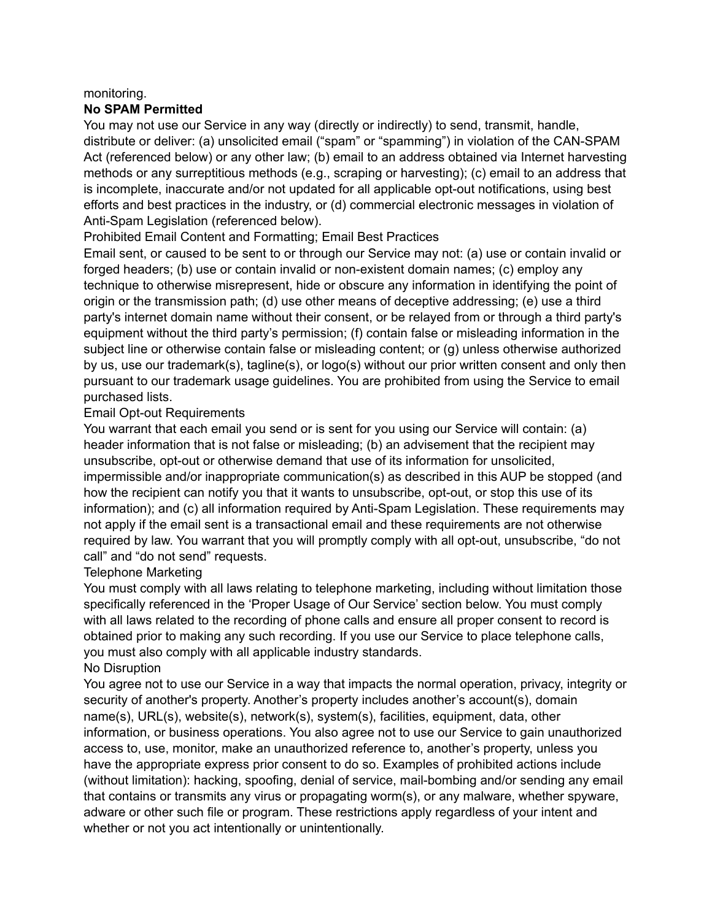#### monitoring.

#### **No SPAM Permitted**

You may not use our Service in any way (directly or indirectly) to send, transmit, handle, distribute or deliver: (a) unsolicited email ("spam" or "spamming") in violation of the CAN-SPAM Act (referenced below) or any other law; (b) email to an address obtained via Internet harvesting methods or any surreptitious methods (e.g., scraping or harvesting); (c) email to an address that is incomplete, inaccurate and/or not updated for all applicable opt-out notifications, using best efforts and best practices in the industry, or (d) commercial electronic messages in violation of Anti-Spam Legislation (referenced below).

## Prohibited Email Content and Formatting; Email Best Practices

Email sent, or caused to be sent to or through our Service may not: (a) use or contain invalid or forged headers; (b) use or contain invalid or non-existent domain names; (c) employ any technique to otherwise misrepresent, hide or obscure any information in identifying the point of origin or the transmission path; (d) use other means of deceptive addressing; (e) use a third party's internet domain name without their consent, or be relayed from or through a third party's equipment without the third party's permission; (f) contain false or misleading information in the subject line or otherwise contain false or misleading content; or (g) unless otherwise authorized by us, use our trademark(s), tagline(s), or logo(s) without our prior written consent and only then pursuant to our trademark usage guidelines. You are prohibited from using the Service to email purchased lists.

#### Email Opt-out Requirements

You warrant that each email you send or is sent for you using our Service will contain: (a) header information that is not false or misleading; (b) an advisement that the recipient may unsubscribe, opt-out or otherwise demand that use of its information for unsolicited, impermissible and/or inappropriate communication(s) as described in this AUP be stopped (and how the recipient can notify you that it wants to unsubscribe, opt-out, or stop this use of its information); and (c) all information required by Anti-Spam Legislation. These requirements may not apply if the email sent is a transactional email and these requirements are not otherwise required by law. You warrant that you will promptly comply with all opt-out, unsubscribe, "do not call" and "do not send" requests.

## Telephone Marketing

You must comply with all laws relating to telephone marketing, including without limitation those specifically referenced in the 'Proper Usage of Our Service' section below. You must comply with all laws related to the recording of phone calls and ensure all proper consent to record is obtained prior to making any such recording. If you use our Service to place telephone calls, you must also comply with all applicable industry standards. No Disruption

You agree not to use our Service in a way that impacts the normal operation, privacy, integrity or security of another's property. Another's property includes another's account(s), domain name(s), URL(s), website(s), network(s), system(s), facilities, equipment, data, other information, or business operations. You also agree not to use our Service to gain unauthorized access to, use, monitor, make an unauthorized reference to, another's property, unless you have the appropriate express prior consent to do so. Examples of prohibited actions include (without limitation): hacking, spoofing, denial of service, mail-bombing and/or sending any email that contains or transmits any virus or propagating worm(s), or any malware, whether spyware, adware or other such file or program. These restrictions apply regardless of your intent and whether or not you act intentionally or unintentionally.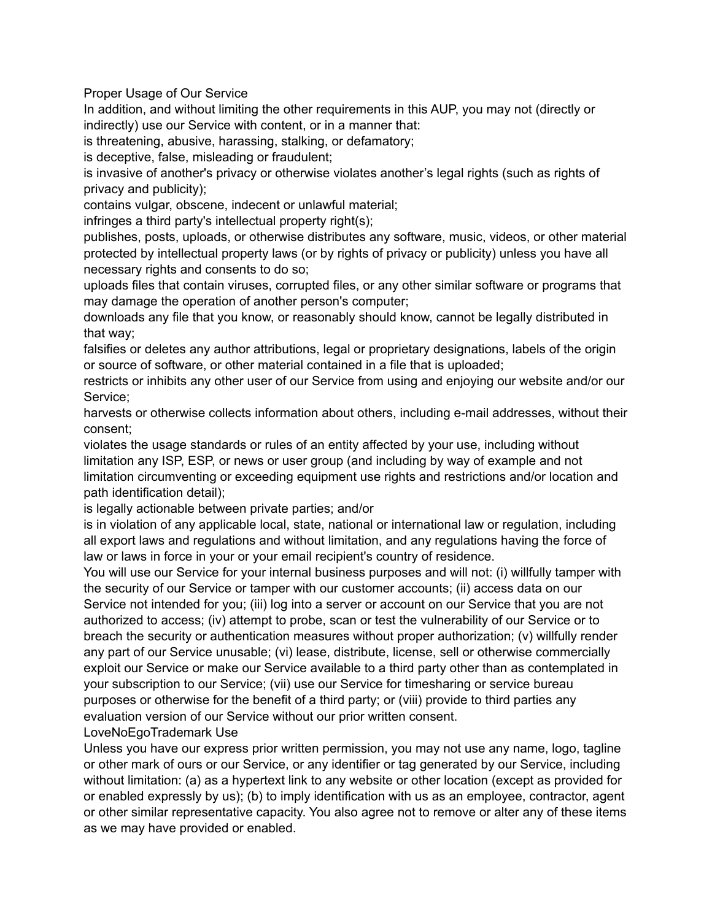Proper Usage of Our Service

In addition, and without limiting the other requirements in this AUP, you may not (directly or indirectly) use our Service with content, or in a manner that:

is threatening, abusive, harassing, stalking, or defamatory;

is deceptive, false, misleading or fraudulent;

is invasive of another's privacy or otherwise violates another's legal rights (such as rights of privacy and publicity);

contains vulgar, obscene, indecent or unlawful material;

infringes a third party's intellectual property right(s);

publishes, posts, uploads, or otherwise distributes any software, music, videos, or other material protected by intellectual property laws (or by rights of privacy or publicity) unless you have all necessary rights and consents to do so;

uploads files that contain viruses, corrupted files, or any other similar software or programs that may damage the operation of another person's computer;

downloads any file that you know, or reasonably should know, cannot be legally distributed in that way;

falsifies or deletes any author attributions, legal or proprietary designations, labels of the origin or source of software, or other material contained in a file that is uploaded;

restricts or inhibits any other user of our Service from using and enjoying our website and/or our Service;

harvests or otherwise collects information about others, including e-mail addresses, without their consent;

violates the usage standards or rules of an entity affected by your use, including without limitation any ISP, ESP, or news or user group (and including by way of example and not limitation circumventing or exceeding equipment use rights and restrictions and/or location and path identification detail);

is legally actionable between private parties; and/or

is in violation of any applicable local, state, national or international law or regulation, including all export laws and regulations and without limitation, and any regulations having the force of law or laws in force in your or your email recipient's country of residence.

You will use our Service for your internal business purposes and will not: (i) willfully tamper with the security of our Service or tamper with our customer accounts; (ii) access data on our Service not intended for you; (iii) log into a server or account on our Service that you are not authorized to access; (iv) attempt to probe, scan or test the vulnerability of our Service or to breach the security or authentication measures without proper authorization; (v) willfully render any part of our Service unusable; (vi) lease, distribute, license, sell or otherwise commercially exploit our Service or make our Service available to a third party other than as contemplated in your subscription to our Service; (vii) use our Service for timesharing or service bureau purposes or otherwise for the benefit of a third party; or (viii) provide to third parties any evaluation version of our Service without our prior written consent.

LoveNoEgoTrademark Use

Unless you have our express prior written permission, you may not use any name, logo, tagline or other mark of ours or our Service, or any identifier or tag generated by our Service, including without limitation: (a) as a hypertext link to any website or other location (except as provided for or enabled expressly by us); (b) to imply identification with us as an employee, contractor, agent or other similar representative capacity. You also agree not to remove or alter any of these items as we may have provided or enabled.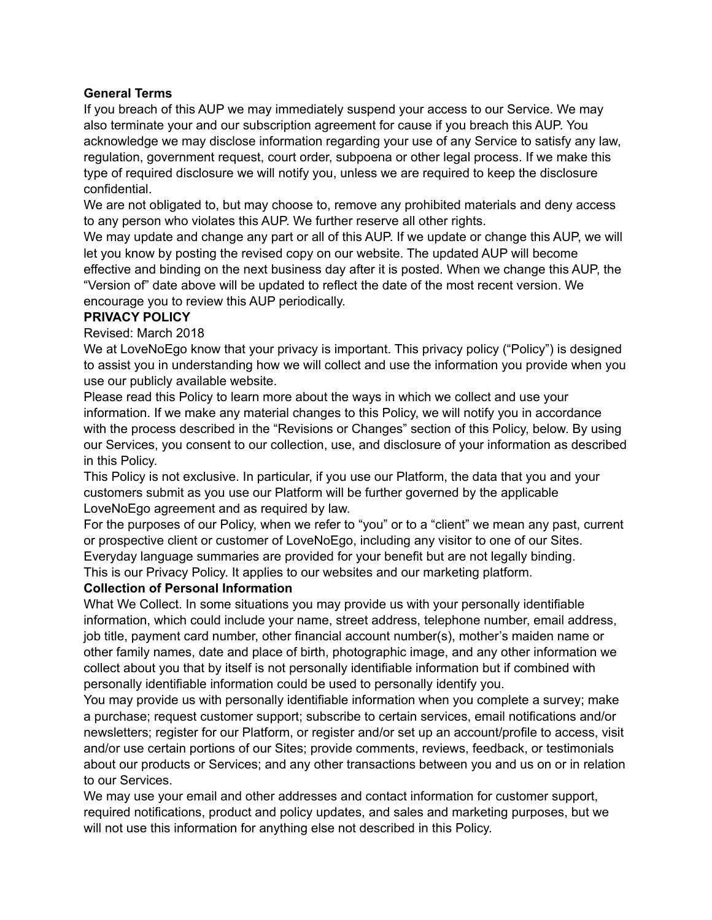## **General Terms**

If you breach of this AUP we may immediately suspend your access to our Service. We may also terminate your and our subscription agreement for cause if you breach this AUP. You acknowledge we may disclose information regarding your use of any Service to satisfy any law, regulation, government request, court order, subpoena or other legal process. If we make this type of required disclosure we will notify you, unless we are required to keep the disclosure confidential.

We are not obligated to, but may choose to, remove any prohibited materials and deny access to any person who violates this AUP. We further reserve all other rights.

We may update and change any part or all of this AUP. If we update or change this AUP, we will let you know by posting the revised copy on our website. The updated AUP will become effective and binding on the next business day after it is posted. When we change this AUP, the "Version of" date above will be updated to reflect the date of the most recent version. We encourage you to review this AUP periodically.

## **PRIVACY POLICY**

Revised: March 2018

We at LoveNoEgo know that your privacy is important. This privacy policy ("Policy") is designed to assist you in understanding how we will collect and use the information you provide when you use our publicly available website.

Please read this Policy to learn more about the ways in which we collect and use your information. If we make any material changes to this Policy, we will notify you in accordance with the process described in the "Revisions or Changes" section of this Policy, below. By using our Services, you consent to our collection, use, and disclosure of your information as described in this Policy.

This Policy is not exclusive. In particular, if you use our Platform, the data that you and your customers submit as you use our Platform will be further governed by the applicable LoveNoEgo agreement and as required by law.

For the purposes of our Policy, when we refer to "you" or to a "client" we mean any past, current or prospective client or customer of LoveNoEgo, including any visitor to one of our Sites. Everyday language summaries are provided for your benefit but are not legally binding. This is our Privacy Policy. It applies to our websites and our marketing platform.

## **Collection of Personal Information**

What We Collect. In some situations you may provide us with your personally identifiable information, which could include your name, street address, telephone number, email address, job title, payment card number, other financial account number(s), mother's maiden name or other family names, date and place of birth, photographic image, and any other information we collect about you that by itself is not personally identifiable information but if combined with personally identifiable information could be used to personally identify you.

You may provide us with personally identifiable information when you complete a survey; make a purchase; request customer support; subscribe to certain services, email notifications and/or newsletters; register for our Platform, or register and/or set up an account/profile to access, visit and/or use certain portions of our Sites; provide comments, reviews, feedback, or testimonials about our products or Services; and any other transactions between you and us on or in relation to our Services.

We may use your email and other addresses and contact information for customer support, required notifications, product and policy updates, and sales and marketing purposes, but we will not use this information for anything else not described in this Policy.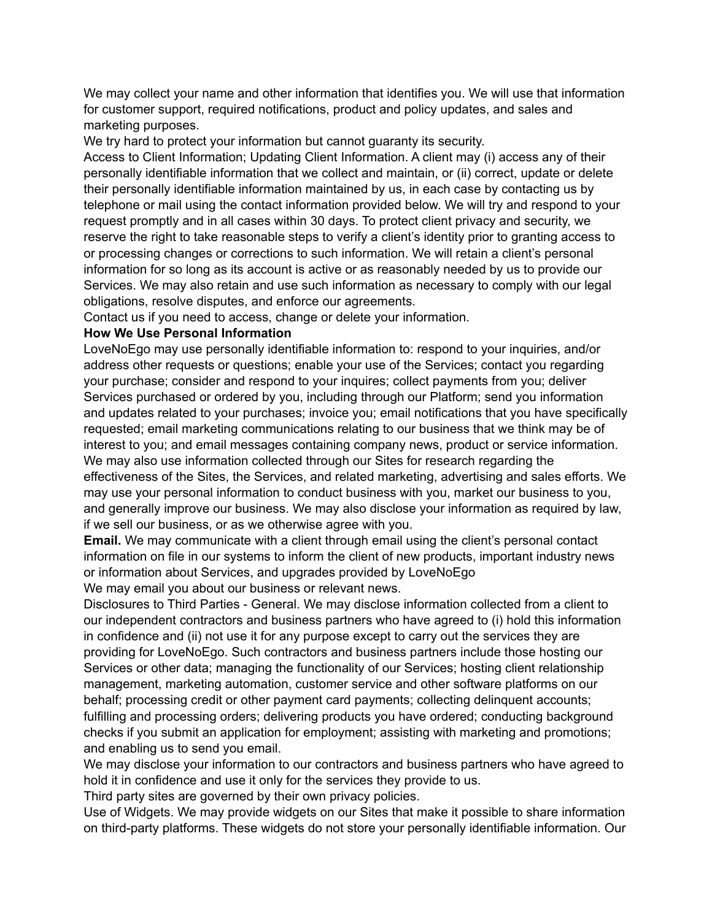We may collect your name and other information that identifies you. We will use that information for customer support, required notifications, product and policy updates, and sales and marketing purposes.

We try hard to protect your information but cannot quaranty its security.

Access to Client Information; Updating Client Information. A client may (i) access any of their personally identifiable information that we collect and maintain, or (ii) correct, update or delete their personally identifiable information maintained by us, in each case by contacting us by telephone or mail using the contact information provided below. We will try and respond to your request promptly and in all cases within 30 days. To protect client privacy and security, we reserve the right to take reasonable steps to verify a client's identity prior to granting access to or processing changes or corrections to such information. We will retain a client's personal information for so long as its account is active or as reasonably needed by us to provide our Services. We may also retain and use such information as necessary to comply with our legal obligations, resolve disputes, and enforce our agreements.

Contact us if you need to access, change or delete your information.

# **How We Use Personal Information**

LoveNoEgo may use personally identifiable information to: respond to your inquiries, and/or address other requests or questions; enable your use of the Services; contact you regarding your purchase; consider and respond to your inquires; collect payments from you; deliver Services purchased or ordered by you, including through our Platform; send you information and updates related to your purchases; invoice you; email notifications that you have specifically requested; email marketing communications relating to our business that we think may be of interest to you; and email messages containing company news, product or service information. We may also use information collected through our Sites for research regarding the effectiveness of the Sites, the Services, and related marketing, advertising and sales efforts. We may use your personal information to conduct business with you, market our business to you, and generally improve our business. We may also disclose your information as required by law, if we sell our business, or as we otherwise agree with you.

**Email.** We may communicate with a client through email using the client's personal contact information on file in our systems to inform the client of new products, important industry news or information about Services, and upgrades provided by LoveNoEgo

We may email you about our business or relevant news.

Disclosures to Third Parties - General. We may disclose information collected from a client to our independent contractors and business partners who have agreed to (i) hold this information in confidence and (ii) not use it for any purpose except to carry out the services they are providing for LoveNoEgo. Such contractors and business partners include those hosting our Services or other data; managing the functionality of our Services; hosting client relationship management, marketing automation, customer service and other software platforms on our behalf; processing credit or other payment card payments; collecting delinquent accounts; fulfilling and processing orders; delivering products you have ordered; conducting background checks if you submit an application for employment; assisting with marketing and promotions; and enabling us to send you email.

We may disclose your information to our contractors and business partners who have agreed to hold it in confidence and use it only for the services they provide to us.

Third party sites are governed by their own privacy policies.

Use of Widgets. We may provide widgets on our Sites that make it possible to share information on third-party platforms. These widgets do not store your personally identifiable information. Our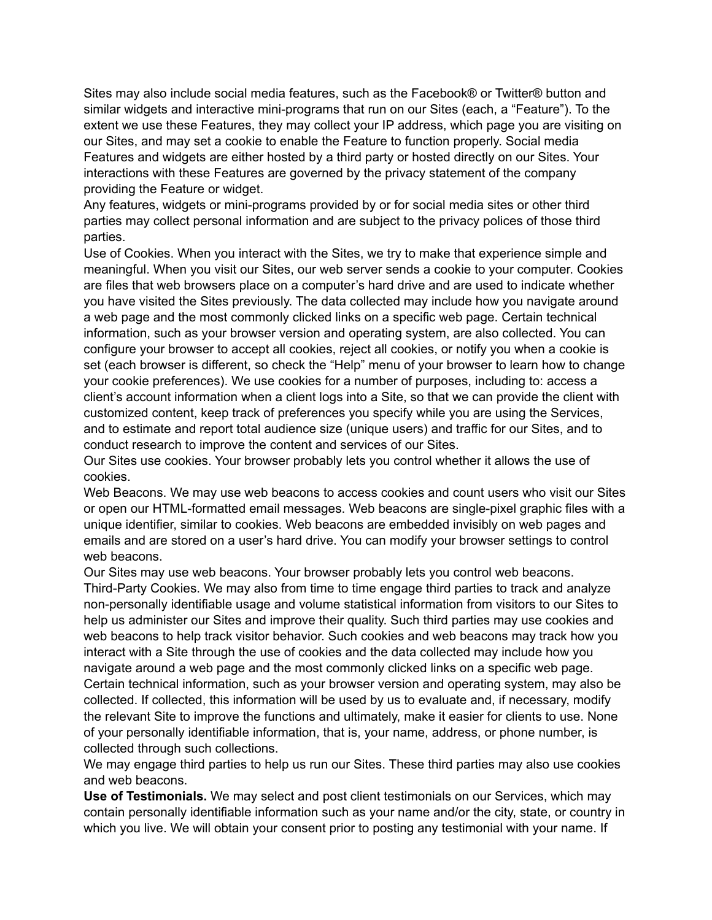Sites may also include social media features, such as the Facebook® or Twitter® button and similar widgets and interactive mini-programs that run on our Sites (each, a "Feature"). To the extent we use these Features, they may collect your IP address, which page you are visiting on our Sites, and may set a cookie to enable the Feature to function properly. Social media Features and widgets are either hosted by a third party or hosted directly on our Sites. Your interactions with these Features are governed by the privacy statement of the company providing the Feature or widget.

Any features, widgets or mini-programs provided by or for social media sites or other third parties may collect personal information and are subject to the privacy polices of those third parties.

Use of Cookies. When you interact with the Sites, we try to make that experience simple and meaningful. When you visit our Sites, our web server sends a cookie to your computer. Cookies are files that web browsers place on a computer's hard drive and are used to indicate whether you have visited the Sites previously. The data collected may include how you navigate around a web page and the most commonly clicked links on a specific web page. Certain technical information, such as your browser version and operating system, are also collected. You can configure your browser to accept all cookies, reject all cookies, or notify you when a cookie is set (each browser is different, so check the "Help" menu of your browser to learn how to change your cookie preferences). We use cookies for a number of purposes, including to: access a client's account information when a client logs into a Site, so that we can provide the client with customized content, keep track of preferences you specify while you are using the Services, and to estimate and report total audience size (unique users) and traffic for our Sites, and to conduct research to improve the content and services of our Sites.

Our Sites use cookies. Your browser probably lets you control whether it allows the use of cookies.

Web Beacons. We may use web beacons to access cookies and count users who visit our Sites or open our HTML-formatted email messages. Web beacons are single-pixel graphic files with a unique identifier, similar to cookies. Web beacons are embedded invisibly on web pages and emails and are stored on a user's hard drive. You can modify your browser settings to control web beacons.

Our Sites may use web beacons. Your browser probably lets you control web beacons. Third-Party Cookies. We may also from time to time engage third parties to track and analyze non-personally identifiable usage and volume statistical information from visitors to our Sites to help us administer our Sites and improve their quality. Such third parties may use cookies and web beacons to help track visitor behavior. Such cookies and web beacons may track how you interact with a Site through the use of cookies and the data collected may include how you navigate around a web page and the most commonly clicked links on a specific web page. Certain technical information, such as your browser version and operating system, may also be collected. If collected, this information will be used by us to evaluate and, if necessary, modify the relevant Site to improve the functions and ultimately, make it easier for clients to use. None of your personally identifiable information, that is, your name, address, or phone number, is collected through such collections.

We may engage third parties to help us run our Sites. These third parties may also use cookies and web beacons.

**Use of Testimonials.** We may select and post client testimonials on our Services, which may contain personally identifiable information such as your name and/or the city, state, or country in which you live. We will obtain your consent prior to posting any testimonial with your name. If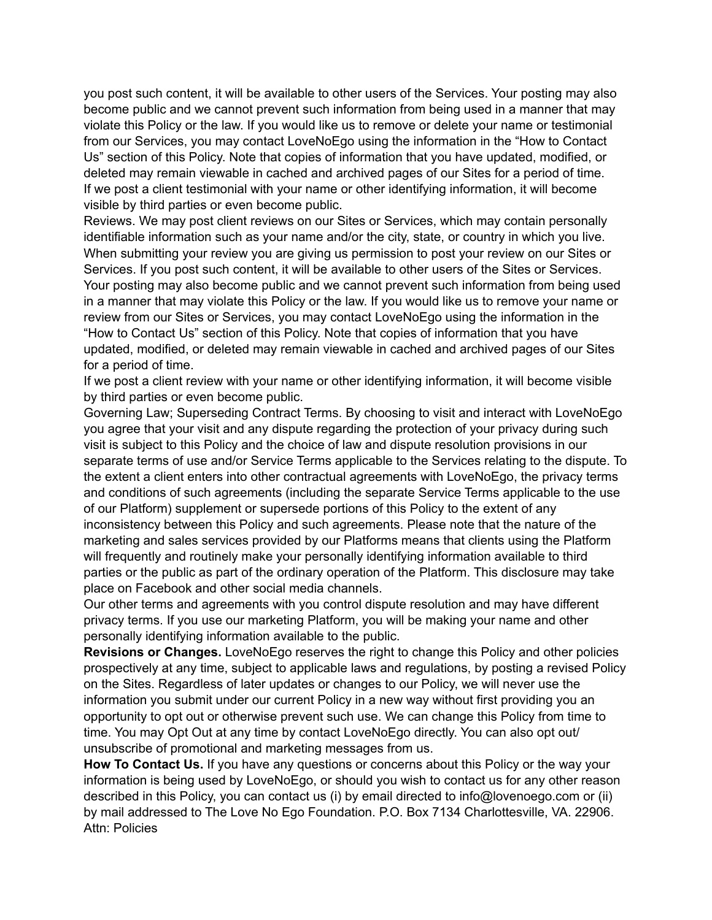you post such content, it will be available to other users of the Services. Your posting may also become public and we cannot prevent such information from being used in a manner that may violate this Policy or the law. If you would like us to remove or delete your name or testimonial from our Services, you may contact LoveNoEgo using the information in the "How to Contact Us" section of this Policy. Note that copies of information that you have updated, modified, or deleted may remain viewable in cached and archived pages of our Sites for a period of time. If we post a client testimonial with your name or other identifying information, it will become visible by third parties or even become public.

Reviews. We may post client reviews on our Sites or Services, which may contain personally identifiable information such as your name and/or the city, state, or country in which you live. When submitting your review you are giving us permission to post your review on our Sites or Services. If you post such content, it will be available to other users of the Sites or Services. Your posting may also become public and we cannot prevent such information from being used in a manner that may violate this Policy or the law. If you would like us to remove your name or review from our Sites or Services, you may contact LoveNoEgo using the information in the "How to Contact Us" section of this Policy. Note that copies of information that you have updated, modified, or deleted may remain viewable in cached and archived pages of our Sites for a period of time.

If we post a client review with your name or other identifying information, it will become visible by third parties or even become public.

Governing Law; Superseding Contract Terms. By choosing to visit and interact with LoveNoEgo you agree that your visit and any dispute regarding the protection of your privacy during such visit is subject to this Policy and the choice of law and dispute resolution provisions in our separate terms of use and/or Service Terms applicable to the Services relating to the dispute. To the extent a client enters into other contractual agreements with LoveNoEgo, the privacy terms and conditions of such agreements (including the separate Service Terms applicable to the use of our Platform) supplement or supersede portions of this Policy to the extent of any inconsistency between this Policy and such agreements. Please note that the nature of the marketing and sales services provided by our Platforms means that clients using the Platform will frequently and routinely make your personally identifying information available to third parties or the public as part of the ordinary operation of the Platform. This disclosure may take place on Facebook and other social media channels.

Our other terms and agreements with you control dispute resolution and may have different privacy terms. If you use our marketing Platform, you will be making your name and other personally identifying information available to the public.

**Revisions or Changes.** LoveNoEgo reserves the right to change this Policy and other policies prospectively at any time, subject to applicable laws and regulations, by posting a revised Policy on the Sites. Regardless of later updates or changes to our Policy, we will never use the information you submit under our current Policy in a new way without first providing you an opportunity to opt out or otherwise prevent such use. We can change this Policy from time to time. You may Opt Out at any time by contact LoveNoEgo directly. You can also opt out/ unsubscribe of promotional and marketing messages from us.

**How To Contact Us.** If you have any questions or concerns about this Policy or the way your information is being used by LoveNoEgo, or should you wish to contact us for any other reason described in this Policy, you can contact us (i) by email directed to info@lovenoego.com or (ii) by mail addressed to The Love No Ego Foundation. P.O. Box 7134 Charlottesville, VA. 22906. Attn: Policies